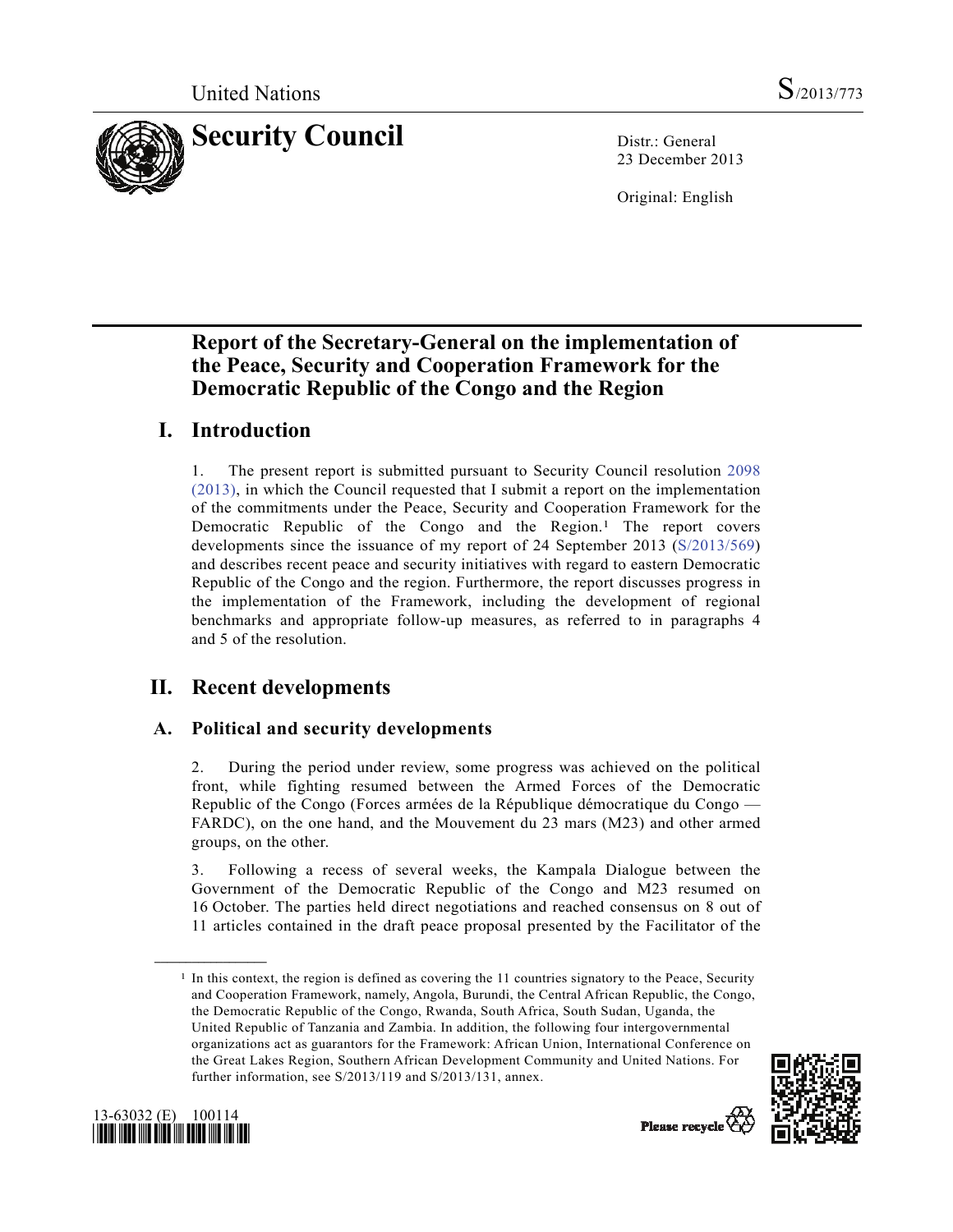

23 December 2013

Original: English

## **Report of the Secretary-General on the implementation of the Peace, Security and Cooperation Framework for the Democratic Republic of the Congo and the Region**

## **I. Introduction**

1. The present report is submitted pursuant to Security Council resolution 2098 (2013), in which the Council requested that I submit a report on the implementation of the commitments under the Peace, Security and Cooperation Framework for the Democratic Republic of the Congo and the Region.1 The report covers developments since the issuance of my report of 24 September 2013 (S/2013/569) and describes recent peace and security initiatives with regard to eastern Democratic Republic of the Congo and the region. Furthermore, the report discusses progress in the implementation of the Framework, including the development of regional benchmarks and appropriate follow-up measures, as referred to in paragraphs 4 and 5 of the resolution.

# **II. Recent developments**

## **A. Political and security developments**

2. During the period under review, some progress was achieved on the political front, while fighting resumed between the Armed Forces of the Democratic Republic of the Congo (Forces armées de la République démocratique du Congo — FARDC), on the one hand, and the Mouvement du 23 mars (M23) and other armed groups, on the other.

3. Following a recess of several weeks, the Kampala Dialogue between the Government of the Democratic Republic of the Congo and M23 resumed on 16 October. The parties held direct negotiations and reached consensus on 8 out of 11 articles contained in the draft peace proposal presented by the Facilitator of the

<sup>1</sup> In this context, the region is defined as covering the 11 countries signatory to the Peace, Security and Cooperation Framework, namely, Angola, Burundi, the Central African Republic, the Congo, the Democratic Republic of the Congo, Rwanda, South Africa, South Sudan, Uganda, the United Republic of Tanzania and Zambia. In addition, the following four intergovernmental organizations act as guarantors for the Framework: African Union, International Conference on the Great Lakes Region, Southern African Development Community and United Nations. For further information, see S/2013/119 and S/2013/131, annex.





**\_\_\_\_\_\_\_\_\_\_\_\_\_\_\_\_\_\_**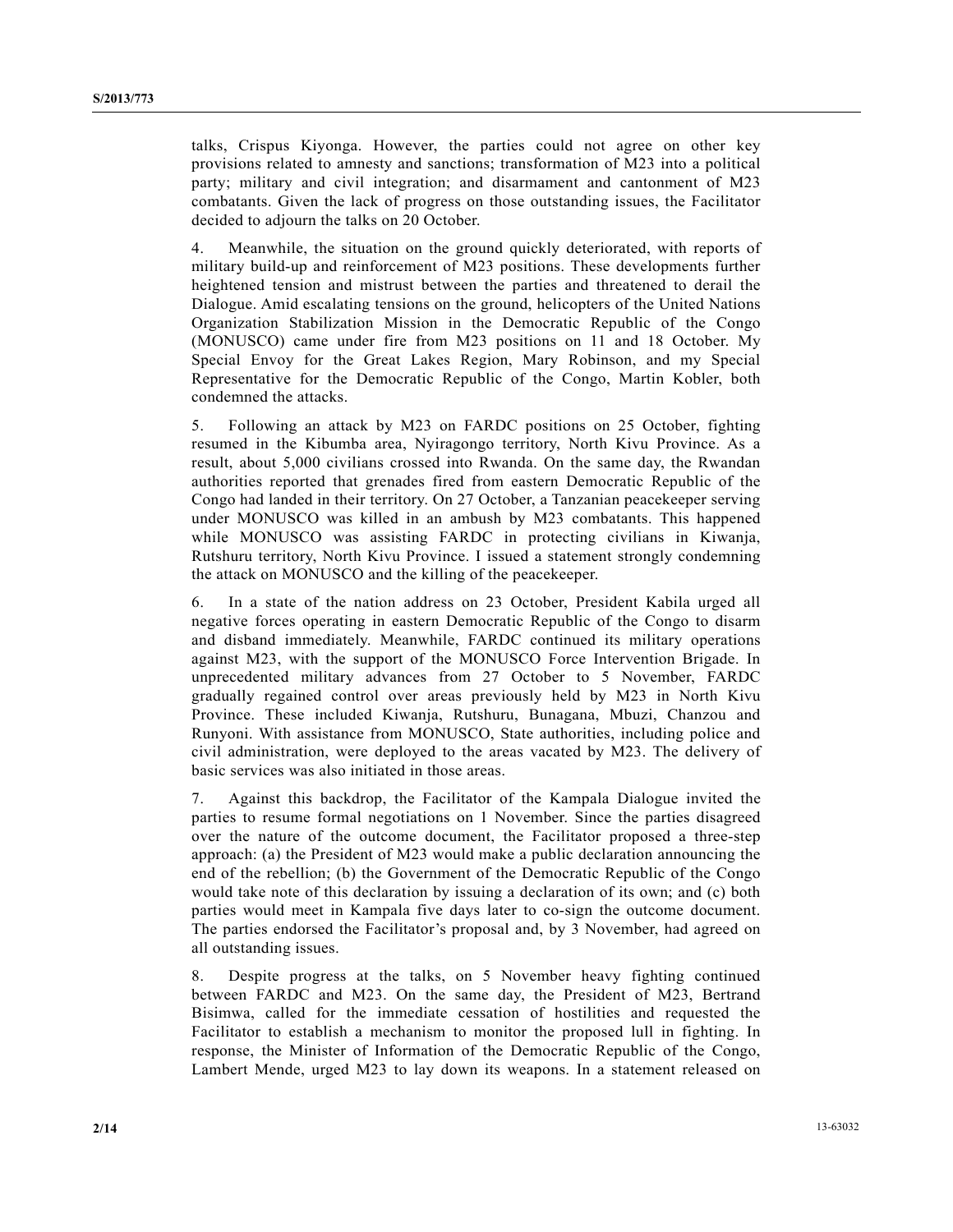talks, Crispus Kiyonga. However, the parties could not agree on other key provisions related to amnesty and sanctions; transformation of M23 into a political party; military and civil integration; and disarmament and cantonment of M23 combatants. Given the lack of progress on those outstanding issues, the Facilitator decided to adjourn the talks on 20 October.

4. Meanwhile, the situation on the ground quickly deteriorated, with reports of military build-up and reinforcement of M23 positions. These developments further heightened tension and mistrust between the parties and threatened to derail the Dialogue. Amid escalating tensions on the ground, helicopters of the United Nations Organization Stabilization Mission in the Democratic Republic of the Congo (MONUSCO) came under fire from M23 positions on 11 and 18 October. My Special Envoy for the Great Lakes Region, Mary Robinson, and my Special Representative for the Democratic Republic of the Congo, Martin Kobler, both condemned the attacks.

5. Following an attack by M23 on FARDC positions on 25 October, fighting resumed in the Kibumba area, Nyiragongo territory, North Kivu Province. As a result, about 5,000 civilians crossed into Rwanda. On the same day, the Rwandan authorities reported that grenades fired from eastern Democratic Republic of the Congo had landed in their territory. On 27 October, a Tanzanian peacekeeper serving under MONUSCO was killed in an ambush by M23 combatants. This happened while MONUSCO was assisting FARDC in protecting civilians in Kiwanja, Rutshuru territory, North Kivu Province. I issued a statement strongly condemning the attack on MONUSCO and the killing of the peacekeeper.

6. In a state of the nation address on 23 October, President Kabila urged all negative forces operating in eastern Democratic Republic of the Congo to disarm and disband immediately. Meanwhile, FARDC continued its military operations against M23, with the support of the MONUSCO Force Intervention Brigade. In unprecedented military advances from 27 October to 5 November, FARDC gradually regained control over areas previously held by M23 in North Kivu Province. These included Kiwanja, Rutshuru, Bunagana, Mbuzi, Chanzou and Runyoni. With assistance from MONUSCO, State authorities, including police and civil administration, were deployed to the areas vacated by M23. The delivery of basic services was also initiated in those areas.

7. Against this backdrop, the Facilitator of the Kampala Dialogue invited the parties to resume formal negotiations on 1 November. Since the parties disagreed over the nature of the outcome document, the Facilitator proposed a three-step approach: (a) the President of M23 would make a public declaration announcing the end of the rebellion; (b) the Government of the Democratic Republic of the Congo would take note of this declaration by issuing a declaration of its own; and (c) both parties would meet in Kampala five days later to co-sign the outcome document. The parties endorsed the Facilitator's proposal and, by 3 November, had agreed on all outstanding issues.

8. Despite progress at the talks, on 5 November heavy fighting continued between FARDC and M23. On the same day, the President of M23, Bertrand Bisimwa, called for the immediate cessation of hostilities and requested the Facilitator to establish a mechanism to monitor the proposed lull in fighting. In response, the Minister of Information of the Democratic Republic of the Congo, Lambert Mende, urged M23 to lay down its weapons. In a statement released on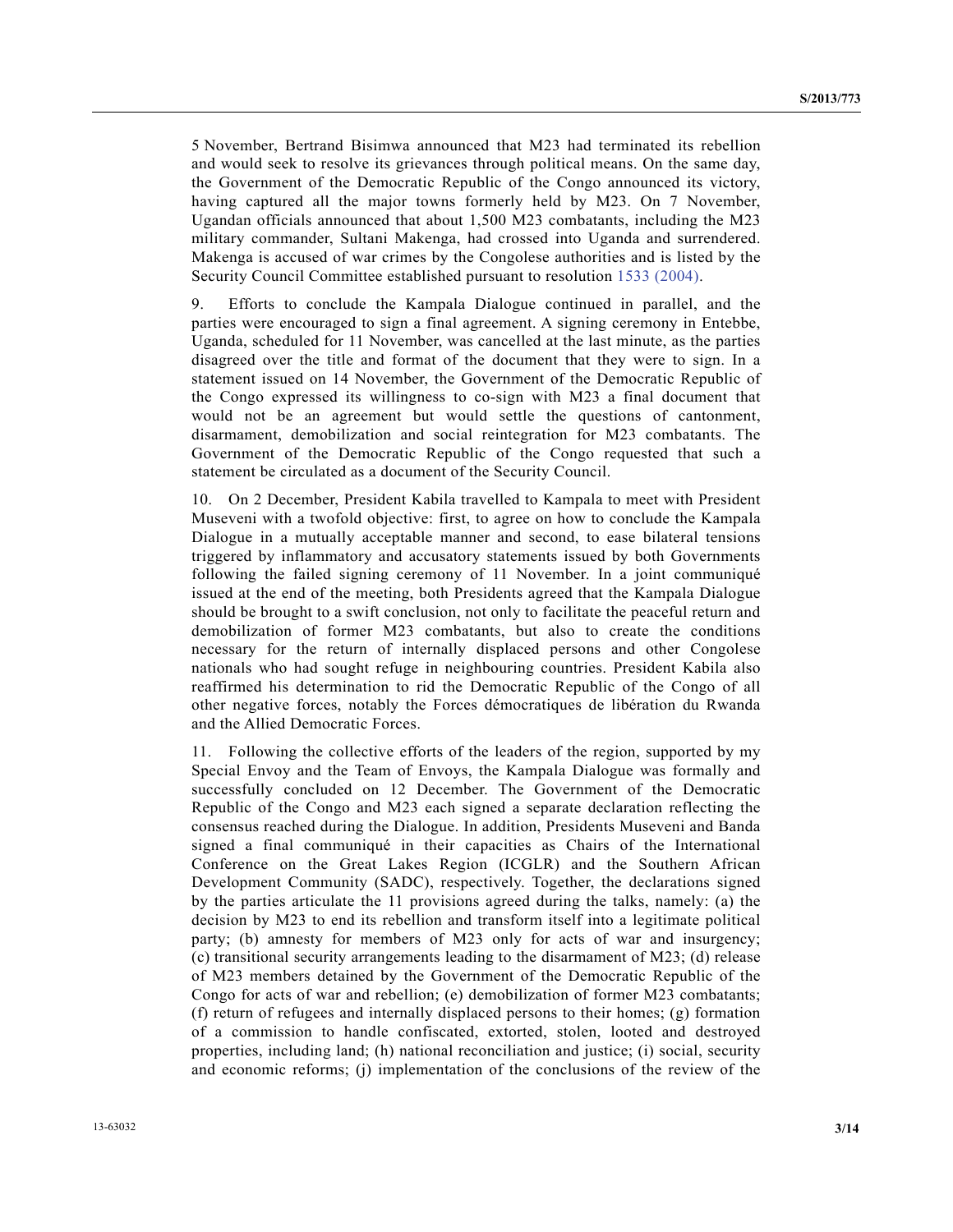5 November, Bertrand Bisimwa announced that M23 had terminated its rebellion and would seek to resolve its grievances through political means. On the same day, the Government of the Democratic Republic of the Congo announced its victory, having captured all the major towns formerly held by M23. On 7 November, Ugandan officials announced that about 1,500 M23 combatants, including the M23 military commander, Sultani Makenga, had crossed into Uganda and surrendered. Makenga is accused of war crimes by the Congolese authorities and is listed by the Security Council Committee established pursuant to resolution 1533 (2004).

9. Efforts to conclude the Kampala Dialogue continued in parallel, and the parties were encouraged to sign a final agreement. A signing ceremony in Entebbe, Uganda, scheduled for 11 November, was cancelled at the last minute, as the parties disagreed over the title and format of the document that they were to sign. In a statement issued on 14 November, the Government of the Democratic Republic of the Congo expressed its willingness to co-sign with M23 a final document that would not be an agreement but would settle the questions of cantonment, disarmament, demobilization and social reintegration for M23 combatants. The Government of the Democratic Republic of the Congo requested that such a statement be circulated as a document of the Security Council.

10. On 2 December, President Kabila travelled to Kampala to meet with President Museveni with a twofold objective: first, to agree on how to conclude the Kampala Dialogue in a mutually acceptable manner and second, to ease bilateral tensions triggered by inflammatory and accusatory statements issued by both Governments following the failed signing ceremony of 11 November. In a joint communiqué issued at the end of the meeting, both Presidents agreed that the Kampala Dialogue should be brought to a swift conclusion, not only to facilitate the peaceful return and demobilization of former M23 combatants, but also to create the conditions necessary for the return of internally displaced persons and other Congolese nationals who had sought refuge in neighbouring countries. President Kabila also reaffirmed his determination to rid the Democratic Republic of the Congo of all other negative forces, notably the Forces démocratiques de libération du Rwanda and the Allied Democratic Forces.

11. Following the collective efforts of the leaders of the region, supported by my Special Envoy and the Team of Envoys, the Kampala Dialogue was formally and successfully concluded on 12 December. The Government of the Democratic Republic of the Congo and M23 each signed a separate declaration reflecting the consensus reached during the Dialogue. In addition, Presidents Museveni and Banda signed a final communiqué in their capacities as Chairs of the International Conference on the Great Lakes Region (ICGLR) and the Southern African Development Community (SADC), respectively. Together, the declarations signed by the parties articulate the 11 provisions agreed during the talks, namely: (a) the decision by M23 to end its rebellion and transform itself into a legitimate political party; (b) amnesty for members of M23 only for acts of war and insurgency; (c) transitional security arrangements leading to the disarmament of M23; (d) release of M23 members detained by the Government of the Democratic Republic of the Congo for acts of war and rebellion; (e) demobilization of former M23 combatants; (f) return of refugees and internally displaced persons to their homes; (g) formation of a commission to handle confiscated, extorted, stolen, looted and destroyed properties, including land; (h) national reconciliation and justice; (i) social, security and economic reforms; (j) implementation of the conclusions of the review of the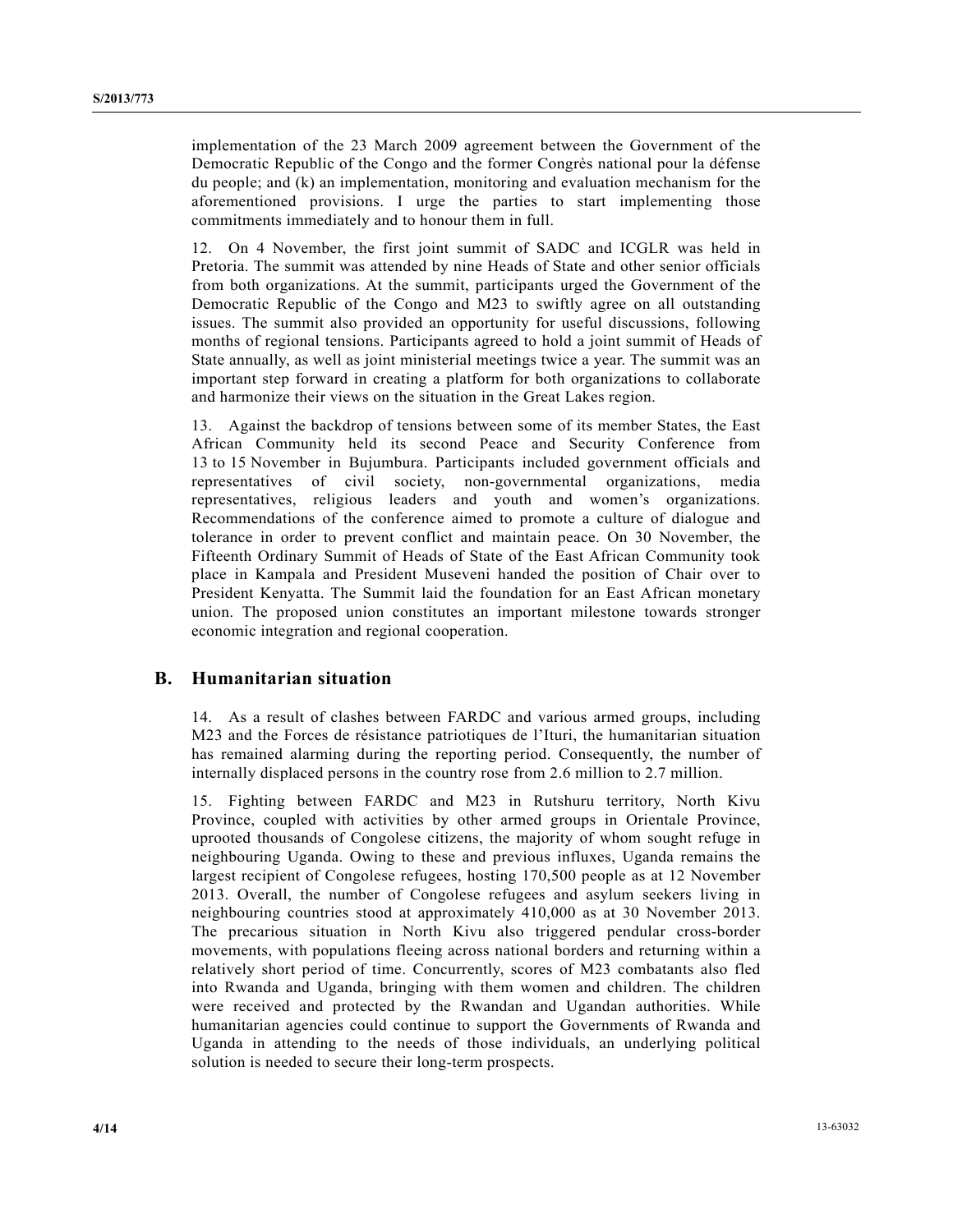implementation of the 23 March 2009 agreement between the Government of the Democratic Republic of the Congo and the former Congrès national pour la défense du people; and (k) an implementation, monitoring and evaluation mechanism for the aforementioned provisions. I urge the parties to start implementing those commitments immediately and to honour them in full.

12. On 4 November, the first joint summit of SADC and ICGLR was held in Pretoria. The summit was attended by nine Heads of State and other senior officials from both organizations. At the summit, participants urged the Government of the Democratic Republic of the Congo and M23 to swiftly agree on all outstanding issues. The summit also provided an opportunity for useful discussions, following months of regional tensions. Participants agreed to hold a joint summit of Heads of State annually, as well as joint ministerial meetings twice a year. The summit was an important step forward in creating a platform for both organizations to collaborate and harmonize their views on the situation in the Great Lakes region.

13. Against the backdrop of tensions between some of its member States, the East African Community held its second Peace and Security Conference from 13 to 15 November in Bujumbura. Participants included government officials and representatives of civil society, non-governmental organizations, media representatives, religious leaders and youth and women's organizations. Recommendations of the conference aimed to promote a culture of dialogue and tolerance in order to prevent conflict and maintain peace. On 30 November, the Fifteenth Ordinary Summit of Heads of State of the East African Community took place in Kampala and President Museveni handed the position of Chair over to President Kenyatta. The Summit laid the foundation for an East African monetary union. The proposed union constitutes an important milestone towards stronger economic integration and regional cooperation.

### **B. Humanitarian situation**

14. As a result of clashes between FARDC and various armed groups, including M23 and the Forces de résistance patriotiques de l'Ituri, the humanitarian situation has remained alarming during the reporting period. Consequently, the number of internally displaced persons in the country rose from 2.6 million to 2.7 million.

15. Fighting between FARDC and M23 in Rutshuru territory, North Kivu Province, coupled with activities by other armed groups in Orientale Province, uprooted thousands of Congolese citizens, the majority of whom sought refuge in neighbouring Uganda. Owing to these and previous influxes, Uganda remains the largest recipient of Congolese refugees, hosting 170,500 people as at 12 November 2013. Overall, the number of Congolese refugees and asylum seekers living in neighbouring countries stood at approximately 410,000 as at 30 November 2013. The precarious situation in North Kivu also triggered pendular cross-border movements, with populations fleeing across national borders and returning within a relatively short period of time. Concurrently, scores of M23 combatants also fled into Rwanda and Uganda, bringing with them women and children. The children were received and protected by the Rwandan and Ugandan authorities. While humanitarian agencies could continue to support the Governments of Rwanda and Uganda in attending to the needs of those individuals, an underlying political solution is needed to secure their long-term prospects.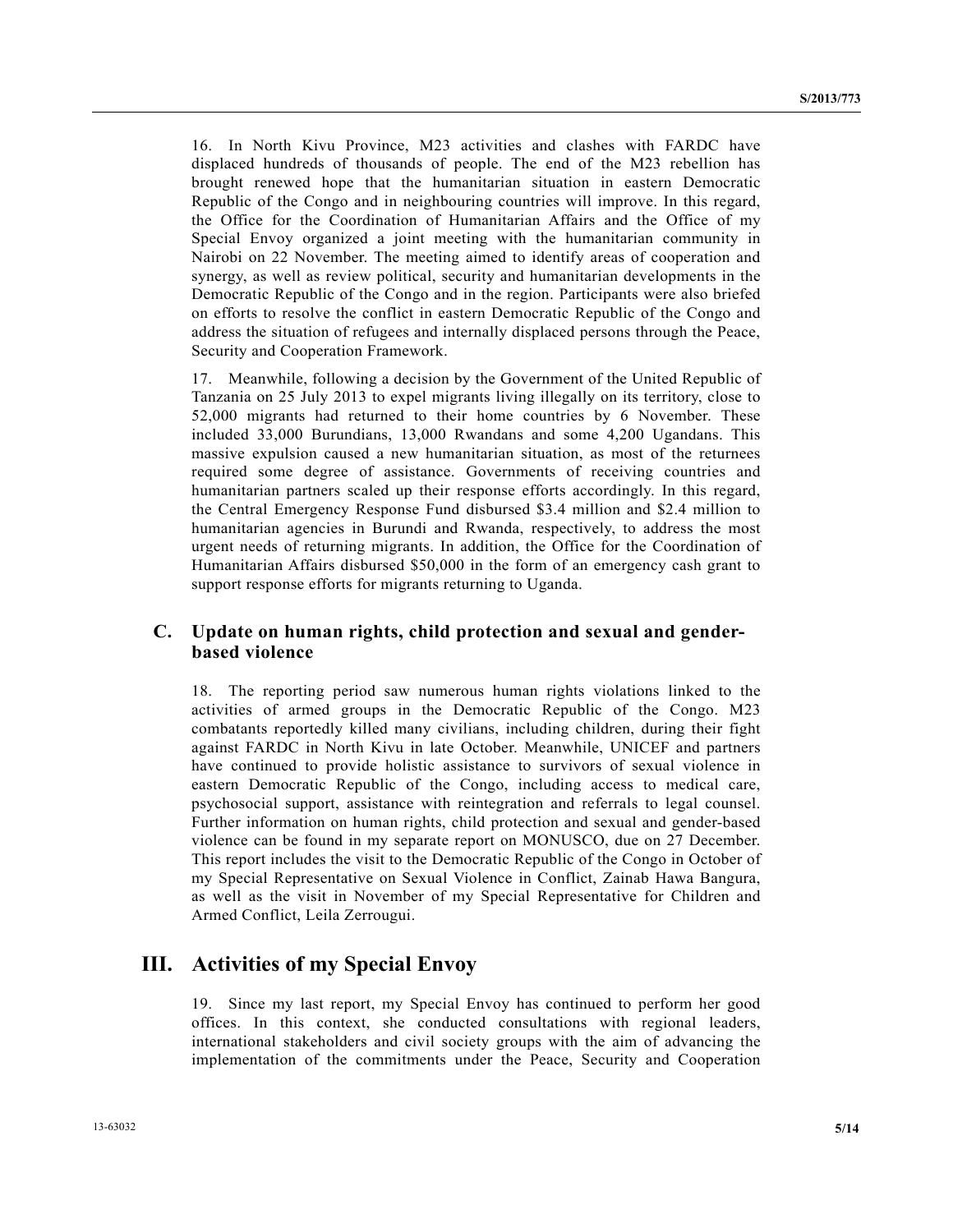16. In North Kivu Province, M23 activities and clashes with FARDC have displaced hundreds of thousands of people. The end of the M23 rebellion has brought renewed hope that the humanitarian situation in eastern Democratic Republic of the Congo and in neighbouring countries will improve. In this regard, the Office for the Coordination of Humanitarian Affairs and the Office of my Special Envoy organized a joint meeting with the humanitarian community in Nairobi on 22 November. The meeting aimed to identify areas of cooperation and synergy, as well as review political, security and humanitarian developments in the Democratic Republic of the Congo and in the region. Participants were also briefed on efforts to resolve the conflict in eastern Democratic Republic of the Congo and address the situation of refugees and internally displaced persons through the Peace, Security and Cooperation Framework.

17. Meanwhile, following a decision by the Government of the United Republic of Tanzania on 25 July 2013 to expel migrants living illegally on its territory, close to 52,000 migrants had returned to their home countries by 6 November. These included 33,000 Burundians, 13,000 Rwandans and some 4,200 Ugandans. This massive expulsion caused a new humanitarian situation, as most of the returnees required some degree of assistance. Governments of receiving countries and humanitarian partners scaled up their response efforts accordingly. In this regard, the Central Emergency Response Fund disbursed \$3.4 million and \$2.4 million to humanitarian agencies in Burundi and Rwanda, respectively, to address the most urgent needs of returning migrants. In addition, the Office for the Coordination of Humanitarian Affairs disbursed \$50,000 in the form of an emergency cash grant to support response efforts for migrants returning to Uganda.

### **C. Update on human rights, child protection and sexual and genderbased violence**

18. The reporting period saw numerous human rights violations linked to the activities of armed groups in the Democratic Republic of the Congo. M23 combatants reportedly killed many civilians, including children, during their fight against FARDC in North Kivu in late October. Meanwhile, UNICEF and partners have continued to provide holistic assistance to survivors of sexual violence in eastern Democratic Republic of the Congo, including access to medical care, psychosocial support, assistance with reintegration and referrals to legal counsel. Further information on human rights, child protection and sexual and gender-based violence can be found in my separate report on MONUSCO, due on 27 December. This report includes the visit to the Democratic Republic of the Congo in October of my Special Representative on Sexual Violence in Conflict, Zainab Hawa Bangura, as well as the visit in November of my Special Representative for Children and Armed Conflict, Leila Zerrougui.

### **III. Activities of my Special Envoy**

19. Since my last report, my Special Envoy has continued to perform her good offices. In this context, she conducted consultations with regional leaders, international stakeholders and civil society groups with the aim of advancing the implementation of the commitments under the Peace, Security and Cooperation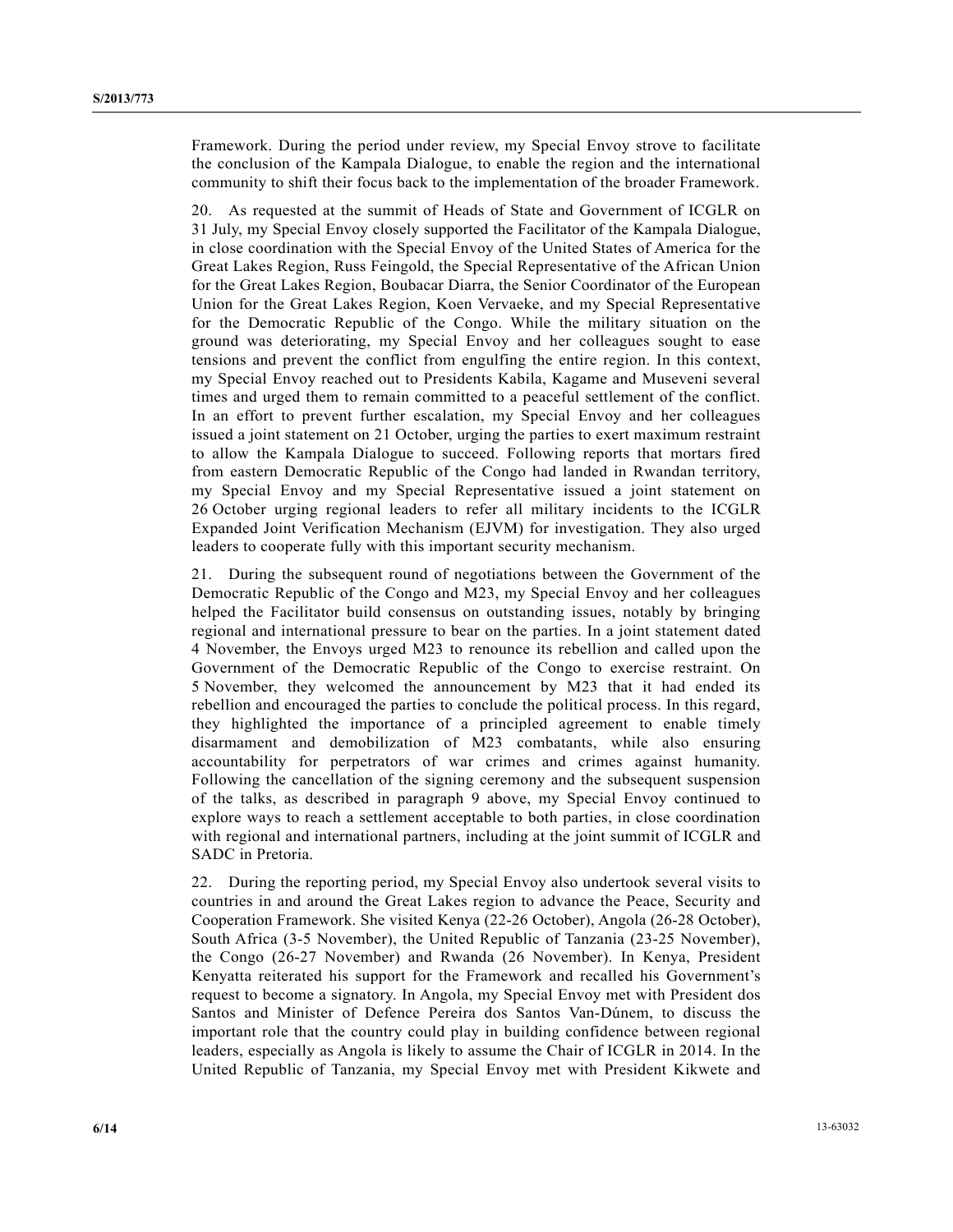Framework. During the period under review, my Special Envoy strove to facilitate the conclusion of the Kampala Dialogue, to enable the region and the international community to shift their focus back to the implementation of the broader Framework.

20. As requested at the summit of Heads of State and Government of ICGLR on 31 July, my Special Envoy closely supported the Facilitator of the Kampala Dialogue, in close coordination with the Special Envoy of the United States of America for the Great Lakes Region, Russ Feingold, the Special Representative of the African Union for the Great Lakes Region, Boubacar Diarra, the Senior Coordinator of the European Union for the Great Lakes Region, Koen Vervaeke, and my Special Representative for the Democratic Republic of the Congo. While the military situation on the ground was deteriorating, my Special Envoy and her colleagues sought to ease tensions and prevent the conflict from engulfing the entire region. In this context, my Special Envoy reached out to Presidents Kabila, Kagame and Museveni several times and urged them to remain committed to a peaceful settlement of the conflict. In an effort to prevent further escalation, my Special Envoy and her colleagues issued a joint statement on 21 October, urging the parties to exert maximum restraint to allow the Kampala Dialogue to succeed. Following reports that mortars fired from eastern Democratic Republic of the Congo had landed in Rwandan territory, my Special Envoy and my Special Representative issued a joint statement on 26 October urging regional leaders to refer all military incidents to the ICGLR Expanded Joint Verification Mechanism (EJVM) for investigation. They also urged leaders to cooperate fully with this important security mechanism.

21. During the subsequent round of negotiations between the Government of the Democratic Republic of the Congo and M23, my Special Envoy and her colleagues helped the Facilitator build consensus on outstanding issues, notably by bringing regional and international pressure to bear on the parties. In a joint statement dated 4 November, the Envoys urged M23 to renounce its rebellion and called upon the Government of the Democratic Republic of the Congo to exercise restraint. On 5 November, they welcomed the announcement by M23 that it had ended its rebellion and encouraged the parties to conclude the political process. In this regard, they highlighted the importance of a principled agreement to enable timely disarmament and demobilization of M23 combatants, while also ensuring accountability for perpetrators of war crimes and crimes against humanity. Following the cancellation of the signing ceremony and the subsequent suspension of the talks, as described in paragraph 9 above, my Special Envoy continued to explore ways to reach a settlement acceptable to both parties, in close coordination with regional and international partners, including at the joint summit of ICGLR and SADC in Pretoria.

22. During the reporting period, my Special Envoy also undertook several visits to countries in and around the Great Lakes region to advance the Peace, Security and Cooperation Framework. She visited Kenya (22-26 October), Angola (26-28 October), South Africa (3-5 November), the United Republic of Tanzania (23-25 November), the Congo (26-27 November) and Rwanda (26 November). In Kenya, President Kenyatta reiterated his support for the Framework and recalled his Government's request to become a signatory. In Angola, my Special Envoy met with President dos Santos and Minister of Defence Pereira dos Santos Van-Dúnem, to discuss the important role that the country could play in building confidence between regional leaders, especially as Angola is likely to assume the Chair of ICGLR in 2014. In the United Republic of Tanzania, my Special Envoy met with President Kikwete and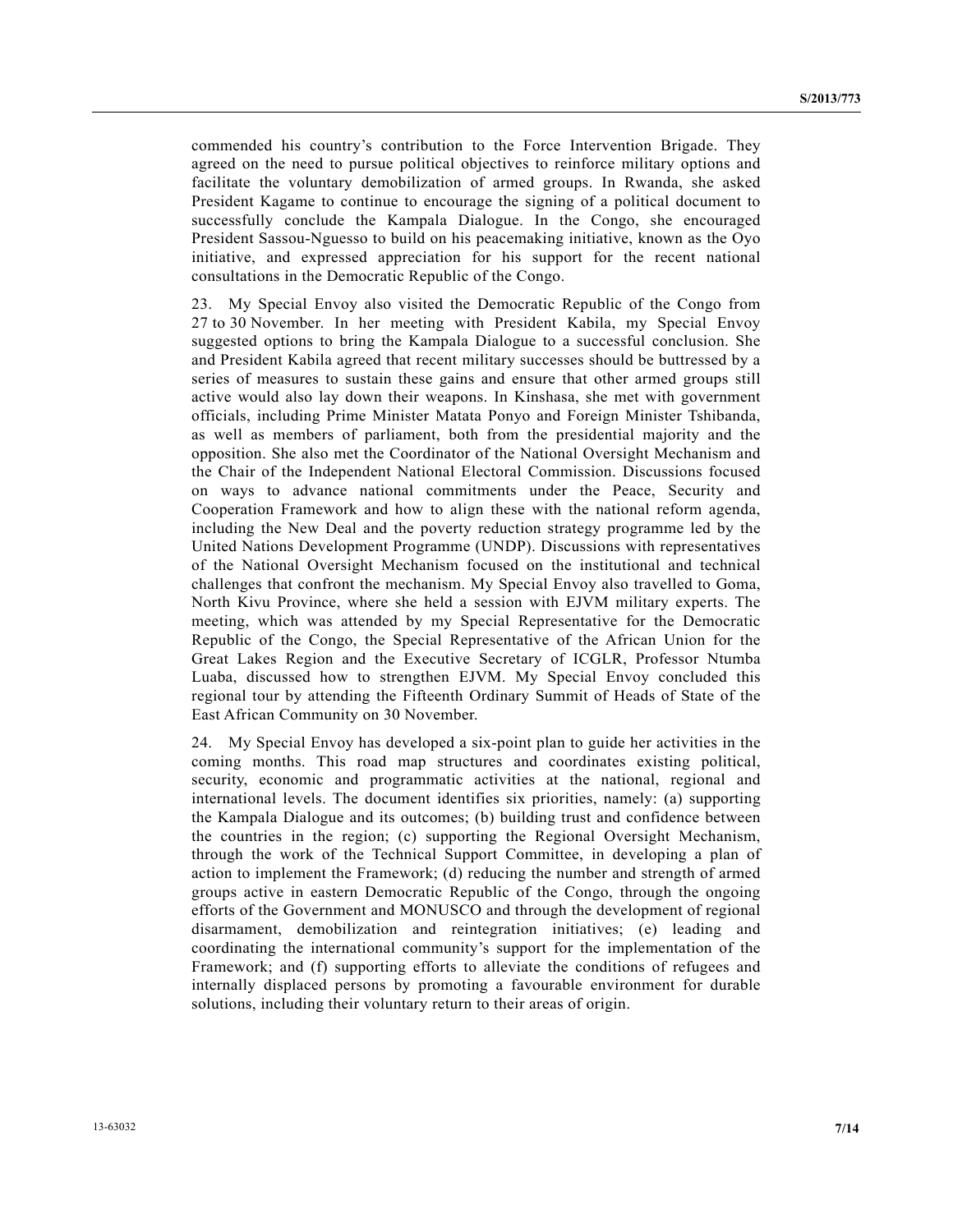commended his country's contribution to the Force Intervention Brigade. They agreed on the need to pursue political objectives to reinforce military options and facilitate the voluntary demobilization of armed groups. In Rwanda, she asked President Kagame to continue to encourage the signing of a political document to successfully conclude the Kampala Dialogue. In the Congo, she encouraged President Sassou-Nguesso to build on his peacemaking initiative, known as the Oyo initiative, and expressed appreciation for his support for the recent national consultations in the Democratic Republic of the Congo.

23. My Special Envoy also visited the Democratic Republic of the Congo from 27 to 30 November. In her meeting with President Kabila, my Special Envoy suggested options to bring the Kampala Dialogue to a successful conclusion. She and President Kabila agreed that recent military successes should be buttressed by a series of measures to sustain these gains and ensure that other armed groups still active would also lay down their weapons. In Kinshasa, she met with government officials, including Prime Minister Matata Ponyo and Foreign Minister Tshibanda, as well as members of parliament, both from the presidential majority and the opposition. She also met the Coordinator of the National Oversight Mechanism and the Chair of the Independent National Electoral Commission. Discussions focused on ways to advance national commitments under the Peace, Security and Cooperation Framework and how to align these with the national reform agenda, including the New Deal and the poverty reduction strategy programme led by the United Nations Development Programme (UNDP). Discussions with representatives of the National Oversight Mechanism focused on the institutional and technical challenges that confront the mechanism. My Special Envoy also travelled to Goma, North Kivu Province, where she held a session with EJVM military experts. The meeting, which was attended by my Special Representative for the Democratic Republic of the Congo, the Special Representative of the African Union for the Great Lakes Region and the Executive Secretary of ICGLR, Professor Ntumba Luaba, discussed how to strengthen EJVM. My Special Envoy concluded this regional tour by attending the Fifteenth Ordinary Summit of Heads of State of the East African Community on 30 November.

24. My Special Envoy has developed a six-point plan to guide her activities in the coming months. This road map structures and coordinates existing political, security, economic and programmatic activities at the national, regional and international levels. The document identifies six priorities, namely: (a) supporting the Kampala Dialogue and its outcomes; (b) building trust and confidence between the countries in the region; (c) supporting the Regional Oversight Mechanism, through the work of the Technical Support Committee, in developing a plan of action to implement the Framework; (d) reducing the number and strength of armed groups active in eastern Democratic Republic of the Congo, through the ongoing efforts of the Government and MONUSCO and through the development of regional disarmament, demobilization and reintegration initiatives; (e) leading and coordinating the international community's support for the implementation of the Framework; and (f) supporting efforts to alleviate the conditions of refugees and internally displaced persons by promoting a favourable environment for durable solutions, including their voluntary return to their areas of origin.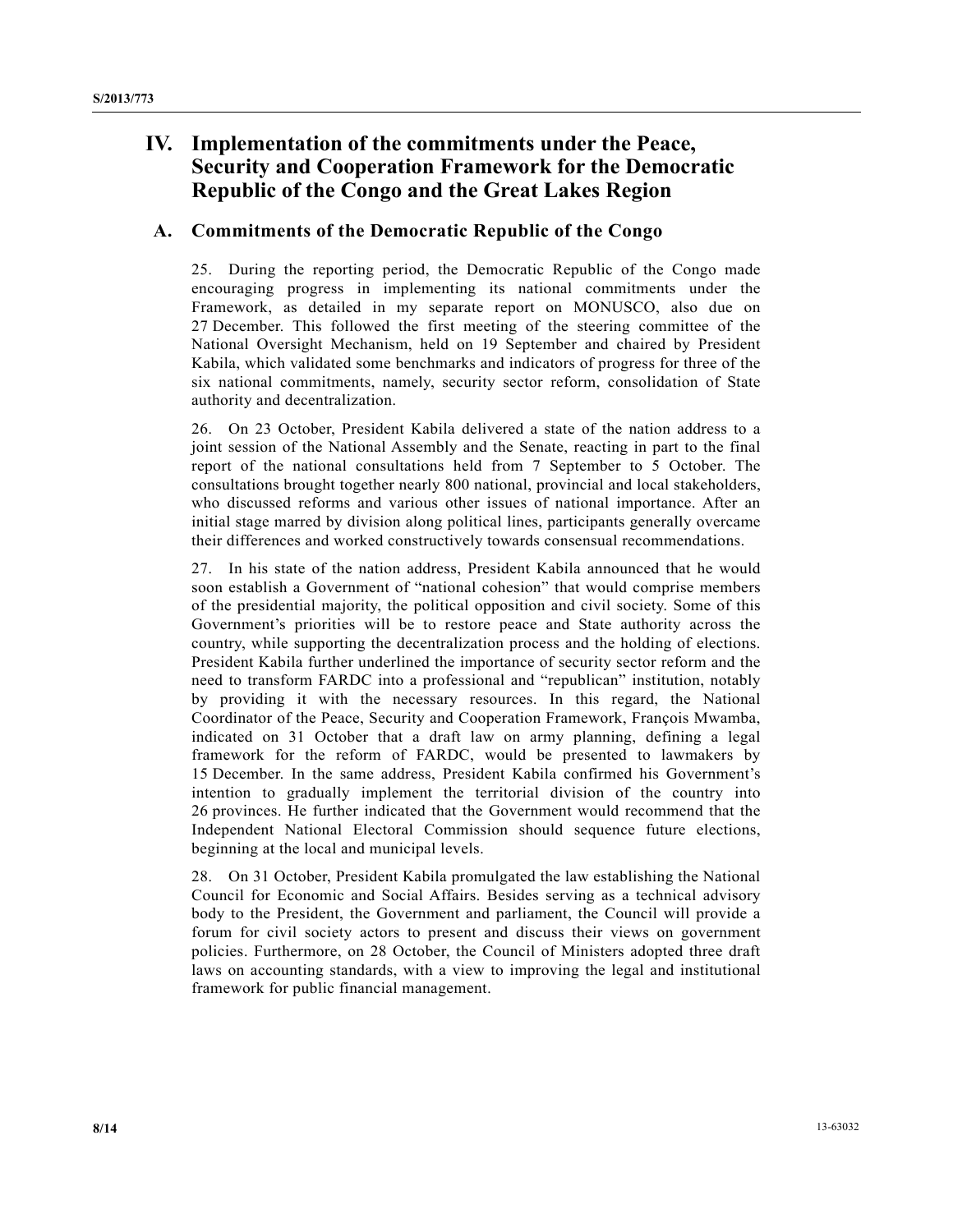## **IV. Implementation of the commitments under the Peace, Security and Cooperation Framework for the Democratic Republic of the Congo and the Great Lakes Region**

### **A. Commitments of the Democratic Republic of the Congo**

25. During the reporting period, the Democratic Republic of the Congo made encouraging progress in implementing its national commitments under the Framework, as detailed in my separate report on MONUSCO, also due on 27 December. This followed the first meeting of the steering committee of the National Oversight Mechanism, held on 19 September and chaired by President Kabila, which validated some benchmarks and indicators of progress for three of the six national commitments, namely, security sector reform, consolidation of State authority and decentralization.

26. On 23 October, President Kabila delivered a state of the nation address to a joint session of the National Assembly and the Senate, reacting in part to the final report of the national consultations held from 7 September to 5 October. The consultations brought together nearly 800 national, provincial and local stakeholders, who discussed reforms and various other issues of national importance. After an initial stage marred by division along political lines, participants generally overcame their differences and worked constructively towards consensual recommendations.

27. In his state of the nation address, President Kabila announced that he would soon establish a Government of "national cohesion" that would comprise members of the presidential majority, the political opposition and civil society. Some of this Government's priorities will be to restore peace and State authority across the country, while supporting the decentralization process and the holding of elections. President Kabila further underlined the importance of security sector reform and the need to transform FARDC into a professional and "republican" institution, notably by providing it with the necessary resources. In this regard, the National Coordinator of the Peace, Security and Cooperation Framework, François Mwamba, indicated on 31 October that a draft law on army planning, defining a legal framework for the reform of FARDC, would be presented to lawmakers by 15 December. In the same address, President Kabila confirmed his Government's intention to gradually implement the territorial division of the country into 26 provinces. He further indicated that the Government would recommend that the Independent National Electoral Commission should sequence future elections, beginning at the local and municipal levels.

28. On 31 October, President Kabila promulgated the law establishing the National Council for Economic and Social Affairs. Besides serving as a technical advisory body to the President, the Government and parliament, the Council will provide a forum for civil society actors to present and discuss their views on government policies. Furthermore, on 28 October, the Council of Ministers adopted three draft laws on accounting standards, with a view to improving the legal and institutional framework for public financial management.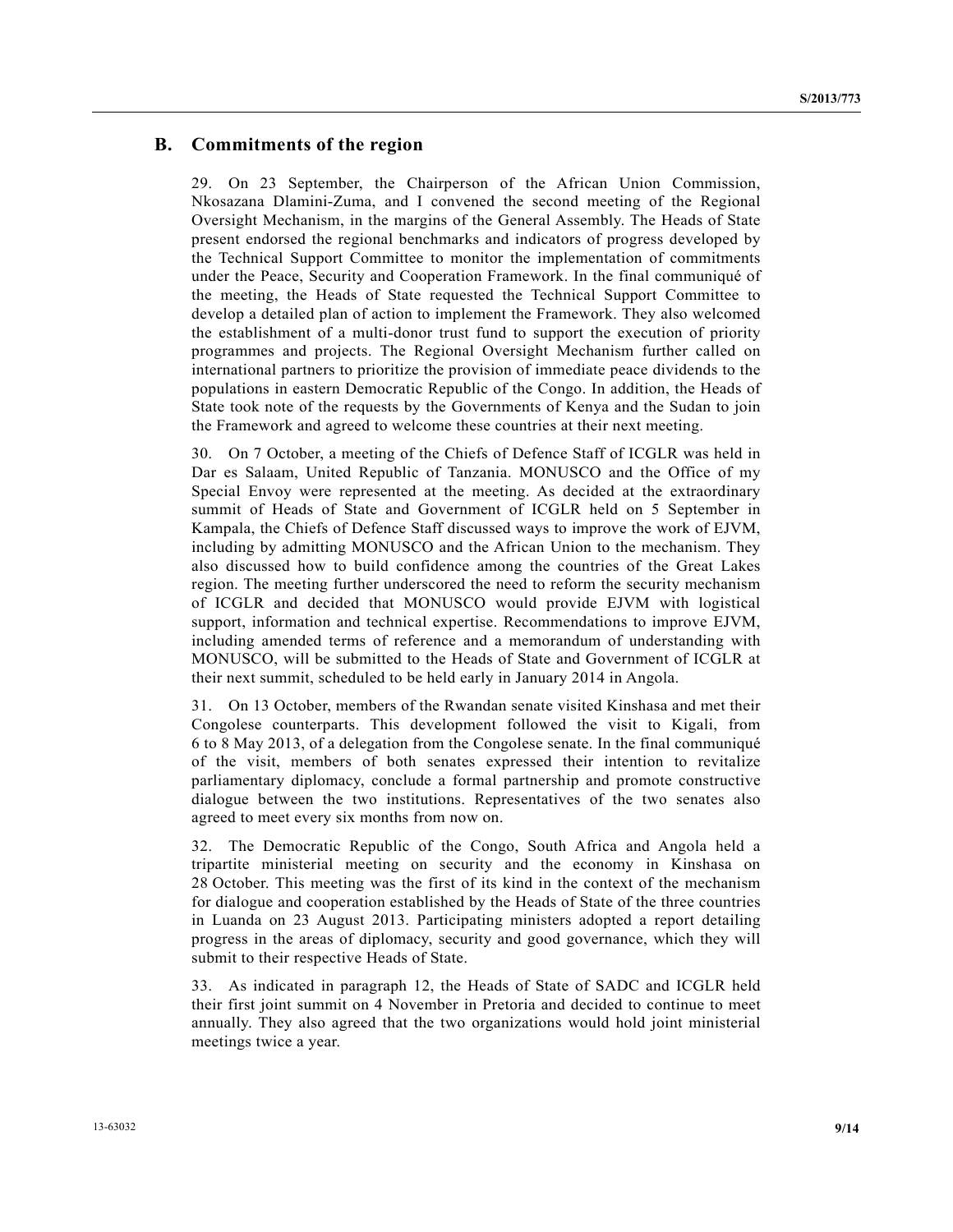#### **B. Commitments of the region**

29. On 23 September, the Chairperson of the African Union Commission, Nkosazana Dlamini-Zuma, and I convened the second meeting of the Regional Oversight Mechanism, in the margins of the General Assembly. The Heads of State present endorsed the regional benchmarks and indicators of progress developed by the Technical Support Committee to monitor the implementation of commitments under the Peace, Security and Cooperation Framework. In the final communiqué of the meeting, the Heads of State requested the Technical Support Committee to develop a detailed plan of action to implement the Framework. They also welcomed the establishment of a multi-donor trust fund to support the execution of priority programmes and projects. The Regional Oversight Mechanism further called on international partners to prioritize the provision of immediate peace dividends to the populations in eastern Democratic Republic of the Congo. In addition, the Heads of State took note of the requests by the Governments of Kenya and the Sudan to join the Framework and agreed to welcome these countries at their next meeting.

30. On 7 October, a meeting of the Chiefs of Defence Staff of ICGLR was held in Dar es Salaam, United Republic of Tanzania. MONUSCO and the Office of my Special Envoy were represented at the meeting. As decided at the extraordinary summit of Heads of State and Government of ICGLR held on 5 September in Kampala, the Chiefs of Defence Staff discussed ways to improve the work of EJVM, including by admitting MONUSCO and the African Union to the mechanism. They also discussed how to build confidence among the countries of the Great Lakes region. The meeting further underscored the need to reform the security mechanism of ICGLR and decided that MONUSCO would provide EJVM with logistical support, information and technical expertise. Recommendations to improve EJVM, including amended terms of reference and a memorandum of understanding with MONUSCO, will be submitted to the Heads of State and Government of ICGLR at their next summit, scheduled to be held early in January 2014 in Angola.

31. On 13 October, members of the Rwandan senate visited Kinshasa and met their Congolese counterparts. This development followed the visit to Kigali, from 6 to 8 May 2013, of a delegation from the Congolese senate. In the final communiqué of the visit, members of both senates expressed their intention to revitalize parliamentary diplomacy, conclude a formal partnership and promote constructive dialogue between the two institutions. Representatives of the two senates also agreed to meet every six months from now on.

32. The Democratic Republic of the Congo, South Africa and Angola held a tripartite ministerial meeting on security and the economy in Kinshasa on 28 October. This meeting was the first of its kind in the context of the mechanism for dialogue and cooperation established by the Heads of State of the three countries in Luanda on 23 August 2013. Participating ministers adopted a report detailing progress in the areas of diplomacy, security and good governance, which they will submit to their respective Heads of State.

33. As indicated in paragraph 12, the Heads of State of SADC and ICGLR held their first joint summit on 4 November in Pretoria and decided to continue to meet annually. They also agreed that the two organizations would hold joint ministerial meetings twice a year.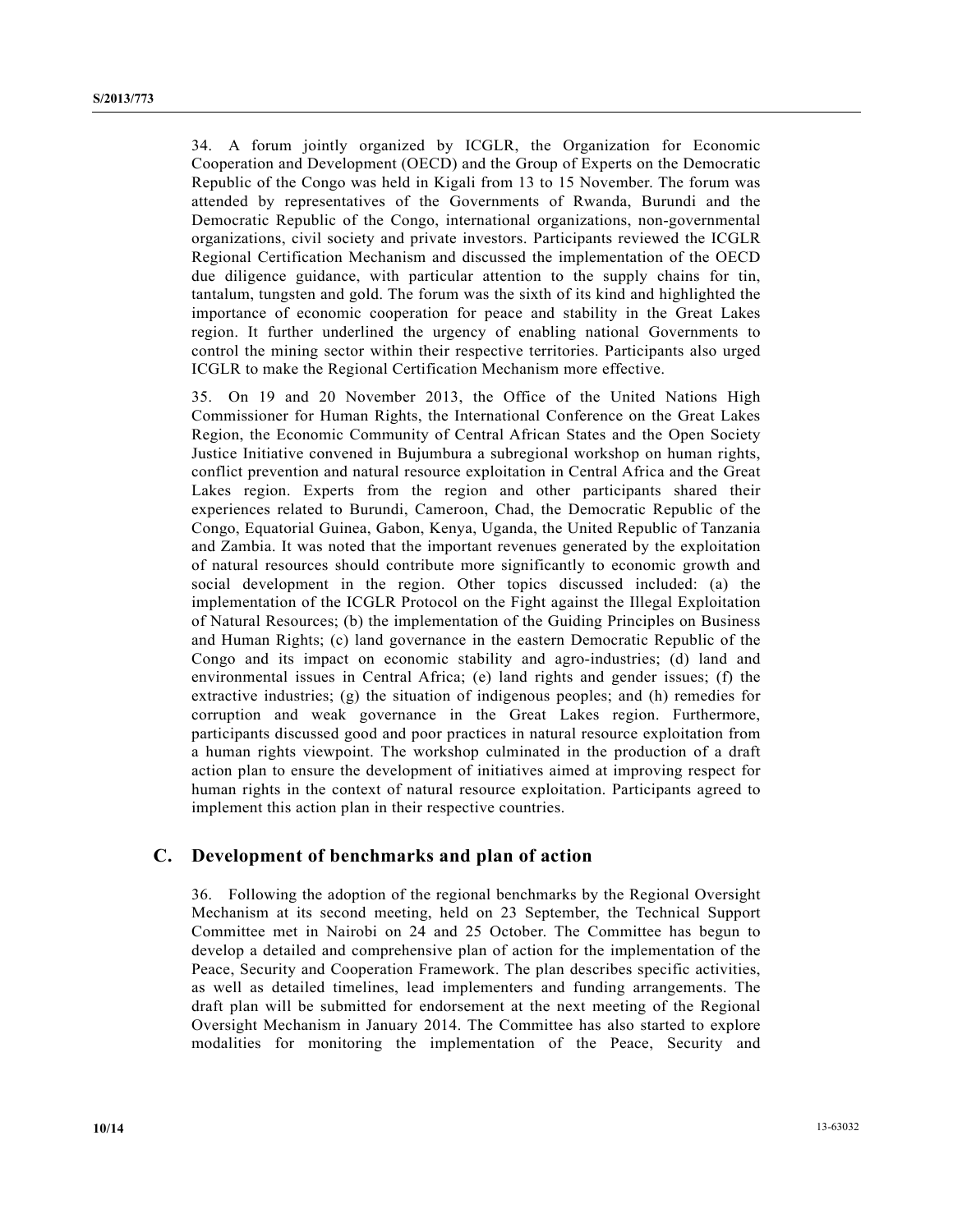34. A forum jointly organized by ICGLR, the Organization for Economic Cooperation and Development (OECD) and the Group of Experts on the Democratic Republic of the Congo was held in Kigali from 13 to 15 November. The forum was attended by representatives of the Governments of Rwanda, Burundi and the Democratic Republic of the Congo, international organizations, non-governmental organizations, civil society and private investors. Participants reviewed the ICGLR Regional Certification Mechanism and discussed the implementation of the OECD due diligence guidance, with particular attention to the supply chains for tin, tantalum, tungsten and gold. The forum was the sixth of its kind and highlighted the importance of economic cooperation for peace and stability in the Great Lakes region. It further underlined the urgency of enabling national Governments to control the mining sector within their respective territories. Participants also urged ICGLR to make the Regional Certification Mechanism more effective.

35. On 19 and 20 November 2013, the Office of the United Nations High Commissioner for Human Rights, the International Conference on the Great Lakes Region, the Economic Community of Central African States and the Open Society Justice Initiative convened in Bujumbura a subregional workshop on human rights, conflict prevention and natural resource exploitation in Central Africa and the Great Lakes region. Experts from the region and other participants shared their experiences related to Burundi, Cameroon, Chad, the Democratic Republic of the Congo, Equatorial Guinea, Gabon, Kenya, Uganda, the United Republic of Tanzania and Zambia. It was noted that the important revenues generated by the exploitation of natural resources should contribute more significantly to economic growth and social development in the region. Other topics discussed included: (a) the implementation of the ICGLR Protocol on the Fight against the Illegal Exploitation of Natural Resources; (b) the implementation of the Guiding Principles on Business and Human Rights; (c) land governance in the eastern Democratic Republic of the Congo and its impact on economic stability and agro-industries; (d) land and environmental issues in Central Africa; (e) land rights and gender issues; (f) the extractive industries; (g) the situation of indigenous peoples; and (h) remedies for corruption and weak governance in the Great Lakes region. Furthermore, participants discussed good and poor practices in natural resource exploitation from a human rights viewpoint. The workshop culminated in the production of a draft action plan to ensure the development of initiatives aimed at improving respect for human rights in the context of natural resource exploitation. Participants agreed to implement this action plan in their respective countries.

#### **C. Development of benchmarks and plan of action**

36. Following the adoption of the regional benchmarks by the Regional Oversight Mechanism at its second meeting, held on 23 September, the Technical Support Committee met in Nairobi on 24 and 25 October. The Committee has begun to develop a detailed and comprehensive plan of action for the implementation of the Peace, Security and Cooperation Framework. The plan describes specific activities, as well as detailed timelines, lead implementers and funding arrangements. The draft plan will be submitted for endorsement at the next meeting of the Regional Oversight Mechanism in January 2014. The Committee has also started to explore modalities for monitoring the implementation of the Peace, Security and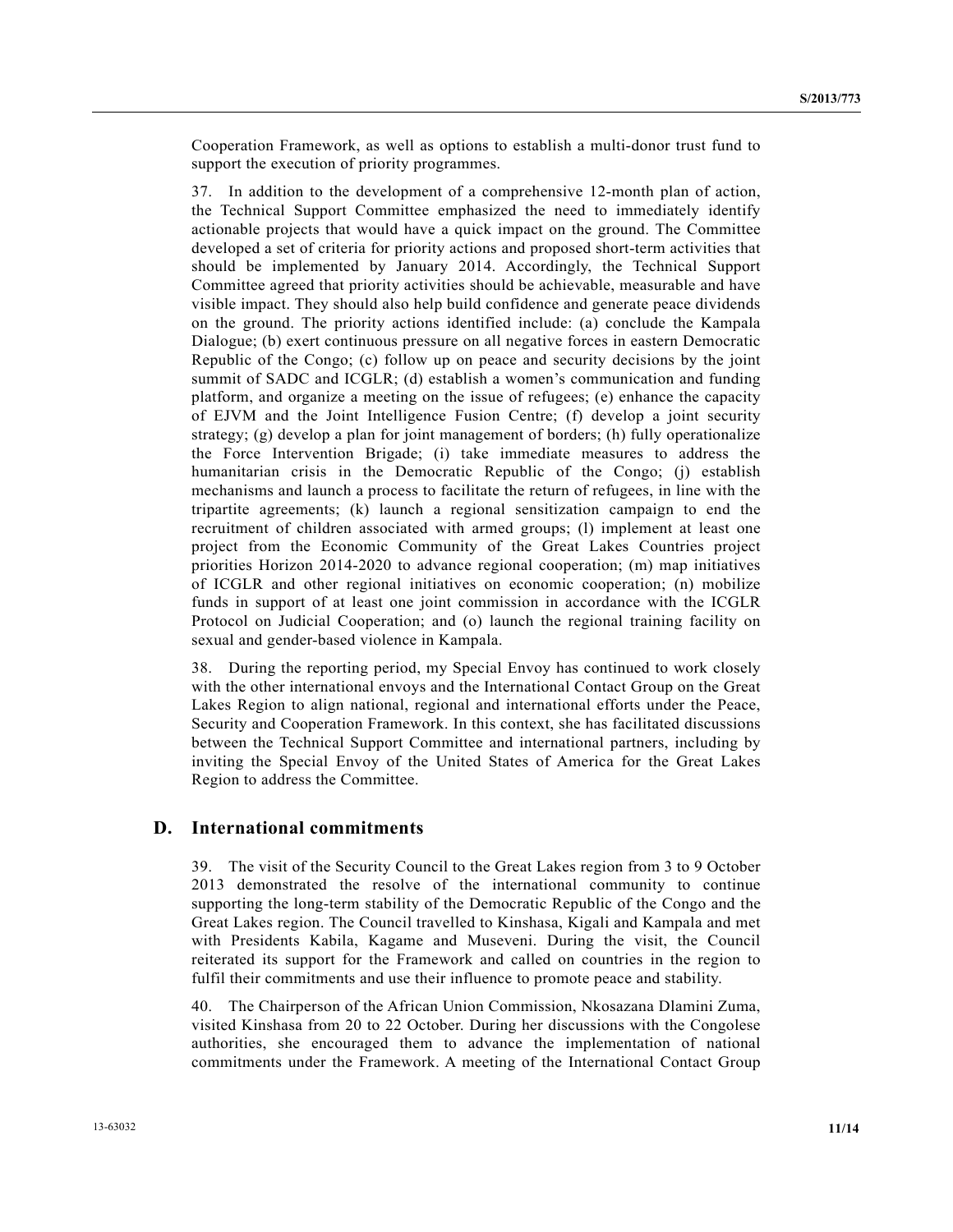Cooperation Framework, as well as options to establish a multi-donor trust fund to support the execution of priority programmes.

37. In addition to the development of a comprehensive 12-month plan of action, the Technical Support Committee emphasized the need to immediately identify actionable projects that would have a quick impact on the ground. The Committee developed a set of criteria for priority actions and proposed short-term activities that should be implemented by January 2014. Accordingly, the Technical Support Committee agreed that priority activities should be achievable, measurable and have visible impact. They should also help build confidence and generate peace dividends on the ground. The priority actions identified include: (a) conclude the Kampala Dialogue; (b) exert continuous pressure on all negative forces in eastern Democratic Republic of the Congo; (c) follow up on peace and security decisions by the joint summit of SADC and ICGLR; (d) establish a women's communication and funding platform, and organize a meeting on the issue of refugees; (e) enhance the capacity of EJVM and the Joint Intelligence Fusion Centre; (f) develop a joint security strategy; (g) develop a plan for joint management of borders; (h) fully operationalize the Force Intervention Brigade; (i) take immediate measures to address the humanitarian crisis in the Democratic Republic of the Congo; (j) establish mechanisms and launch a process to facilitate the return of refugees, in line with the tripartite agreements; (k) launch a regional sensitization campaign to end the recruitment of children associated with armed groups; (l) implement at least one project from the Economic Community of the Great Lakes Countries project priorities Horizon 2014-2020 to advance regional cooperation; (m) map initiatives of ICGLR and other regional initiatives on economic cooperation; (n) mobilize funds in support of at least one joint commission in accordance with the ICGLR Protocol on Judicial Cooperation; and (o) launch the regional training facility on sexual and gender-based violence in Kampala.

38. During the reporting period, my Special Envoy has continued to work closely with the other international envoys and the International Contact Group on the Great Lakes Region to align national, regional and international efforts under the Peace, Security and Cooperation Framework. In this context, she has facilitated discussions between the Technical Support Committee and international partners, including by inviting the Special Envoy of the United States of America for the Great Lakes Region to address the Committee.

#### **D. International commitments**

39. The visit of the Security Council to the Great Lakes region from 3 to 9 October 2013 demonstrated the resolve of the international community to continue supporting the long-term stability of the Democratic Republic of the Congo and the Great Lakes region. The Council travelled to Kinshasa, Kigali and Kampala and met with Presidents Kabila, Kagame and Museveni. During the visit, the Council reiterated its support for the Framework and called on countries in the region to fulfil their commitments and use their influence to promote peace and stability.

40. The Chairperson of the African Union Commission, Nkosazana Dlamini Zuma, visited Kinshasa from 20 to 22 October. During her discussions with the Congolese authorities, she encouraged them to advance the implementation of national commitments under the Framework. A meeting of the International Contact Group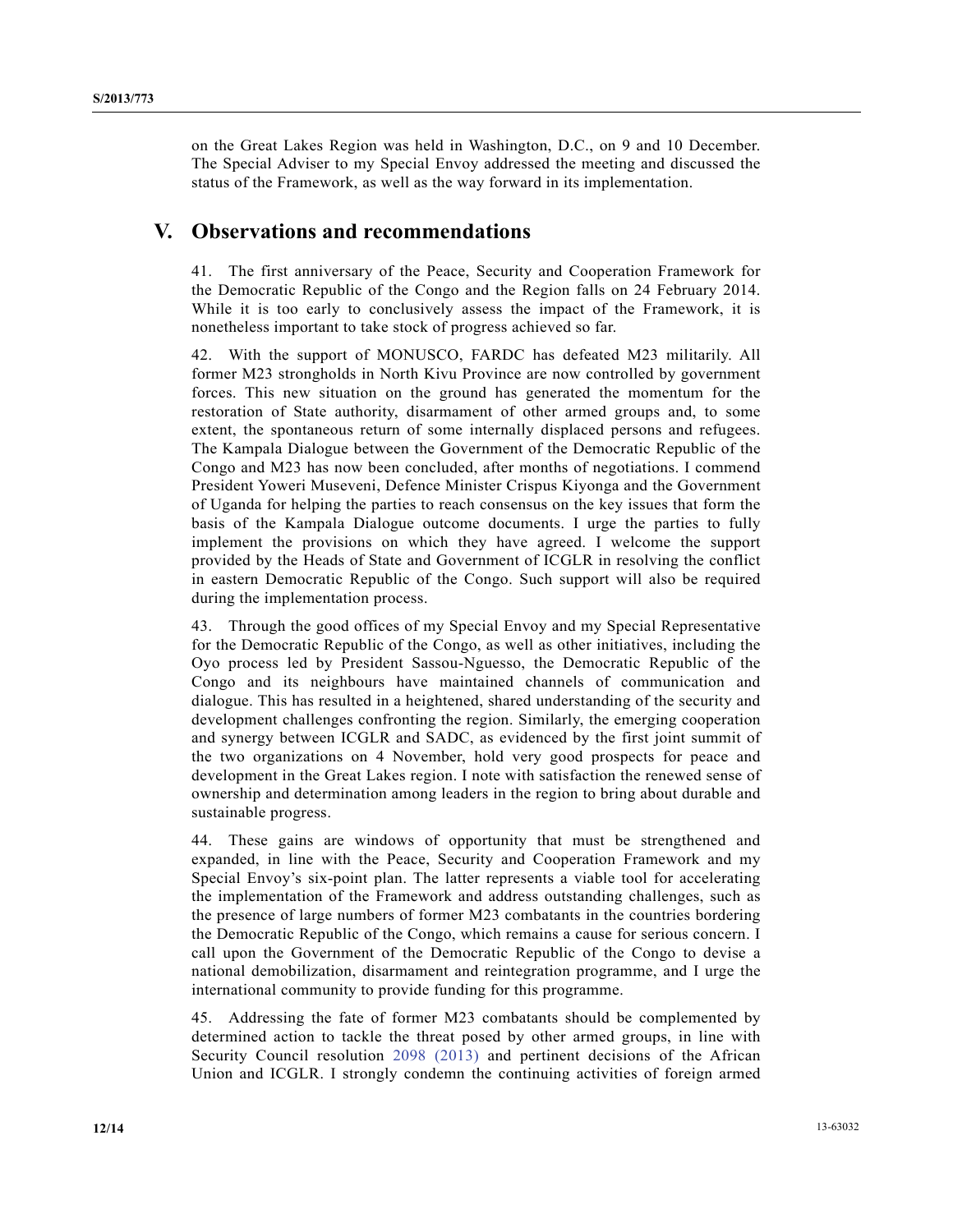on the Great Lakes Region was held in Washington, D.C., on 9 and 10 December. The Special Adviser to my Special Envoy addressed the meeting and discussed the status of the Framework, as well as the way forward in its implementation.

### **V. Observations and recommendations**

41. The first anniversary of the Peace, Security and Cooperation Framework for the Democratic Republic of the Congo and the Region falls on 24 February 2014. While it is too early to conclusively assess the impact of the Framework, it is nonetheless important to take stock of progress achieved so far.

42. With the support of MONUSCO, FARDC has defeated M23 militarily. All former M23 strongholds in North Kivu Province are now controlled by government forces. This new situation on the ground has generated the momentum for the restoration of State authority, disarmament of other armed groups and, to some extent, the spontaneous return of some internally displaced persons and refugees. The Kampala Dialogue between the Government of the Democratic Republic of the Congo and M23 has now been concluded, after months of negotiations. I commend President Yoweri Museveni, Defence Minister Crispus Kiyonga and the Government of Uganda for helping the parties to reach consensus on the key issues that form the basis of the Kampala Dialogue outcome documents. I urge the parties to fully implement the provisions on which they have agreed. I welcome the support provided by the Heads of State and Government of ICGLR in resolving the conflict in eastern Democratic Republic of the Congo. Such support will also be required during the implementation process.

43. Through the good offices of my Special Envoy and my Special Representative for the Democratic Republic of the Congo, as well as other initiatives, including the Oyo process led by President Sassou-Nguesso, the Democratic Republic of the Congo and its neighbours have maintained channels of communication and dialogue. This has resulted in a heightened, shared understanding of the security and development challenges confronting the region. Similarly, the emerging cooperation and synergy between ICGLR and SADC, as evidenced by the first joint summit of the two organizations on 4 November, hold very good prospects for peace and development in the Great Lakes region. I note with satisfaction the renewed sense of ownership and determination among leaders in the region to bring about durable and sustainable progress.

44. These gains are windows of opportunity that must be strengthened and expanded, in line with the Peace, Security and Cooperation Framework and my Special Envoy's six-point plan. The latter represents a viable tool for accelerating the implementation of the Framework and address outstanding challenges, such as the presence of large numbers of former M23 combatants in the countries bordering the Democratic Republic of the Congo, which remains a cause for serious concern. I call upon the Government of the Democratic Republic of the Congo to devise a national demobilization, disarmament and reintegration programme, and I urge the international community to provide funding for this programme.

45. Addressing the fate of former M23 combatants should be complemented by determined action to tackle the threat posed by other armed groups, in line with Security Council resolution 2098 (2013) and pertinent decisions of the African Union and ICGLR. I strongly condemn the continuing activities of foreign armed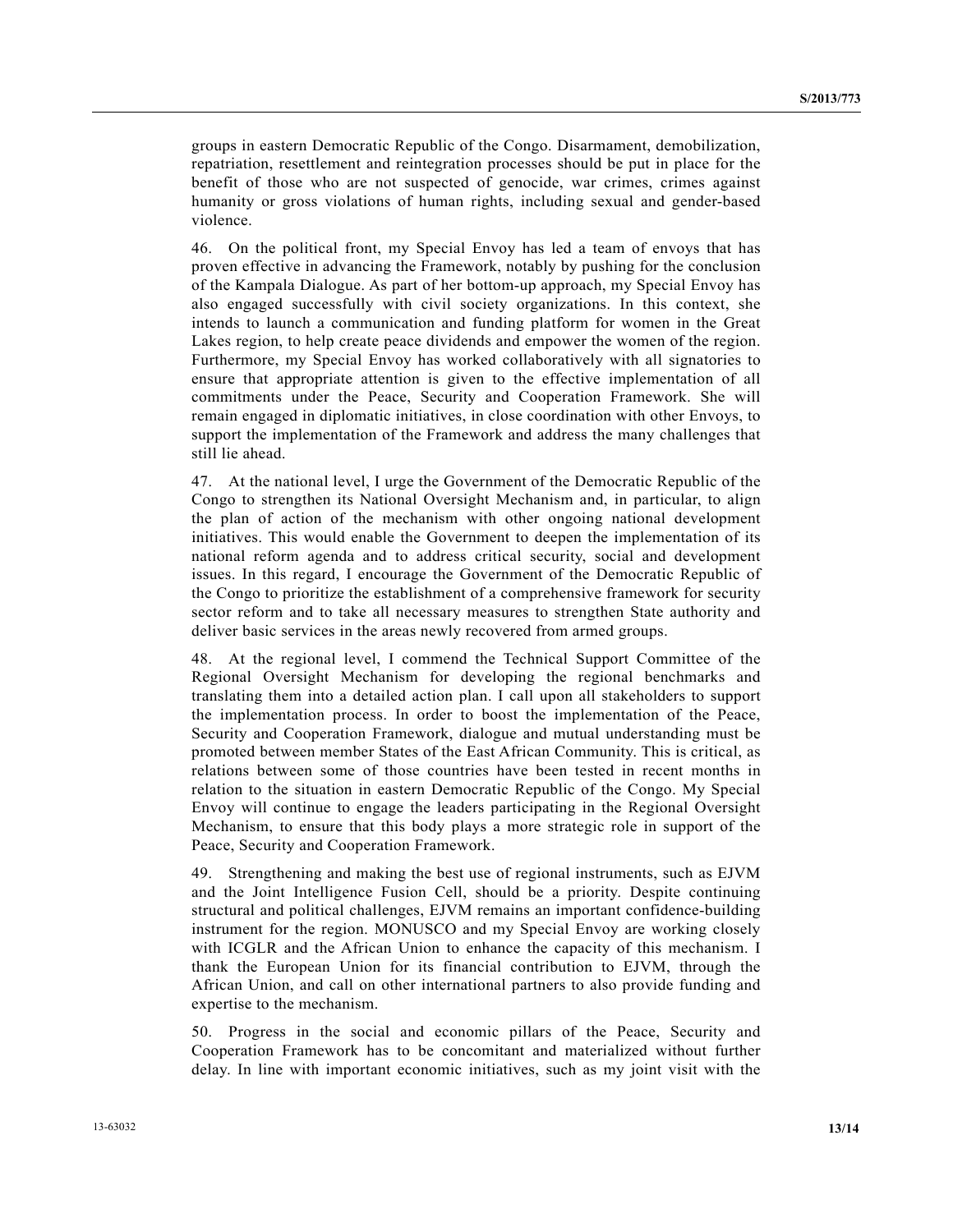groups in eastern Democratic Republic of the Congo. Disarmament, demobilization, repatriation, resettlement and reintegration processes should be put in place for the benefit of those who are not suspected of genocide, war crimes, crimes against humanity or gross violations of human rights, including sexual and gender-based violence.

46. On the political front, my Special Envoy has led a team of envoys that has proven effective in advancing the Framework, notably by pushing for the conclusion of the Kampala Dialogue. As part of her bottom-up approach, my Special Envoy has also engaged successfully with civil society organizations. In this context, she intends to launch a communication and funding platform for women in the Great Lakes region, to help create peace dividends and empower the women of the region. Furthermore, my Special Envoy has worked collaboratively with all signatories to ensure that appropriate attention is given to the effective implementation of all commitments under the Peace, Security and Cooperation Framework. She will remain engaged in diplomatic initiatives, in close coordination with other Envoys, to support the implementation of the Framework and address the many challenges that still lie ahead.

47. At the national level, I urge the Government of the Democratic Republic of the Congo to strengthen its National Oversight Mechanism and, in particular, to align the plan of action of the mechanism with other ongoing national development initiatives. This would enable the Government to deepen the implementation of its national reform agenda and to address critical security, social and development issues. In this regard, I encourage the Government of the Democratic Republic of the Congo to prioritize the establishment of a comprehensive framework for security sector reform and to take all necessary measures to strengthen State authority and deliver basic services in the areas newly recovered from armed groups.

48. At the regional level, I commend the Technical Support Committee of the Regional Oversight Mechanism for developing the regional benchmarks and translating them into a detailed action plan. I call upon all stakeholders to support the implementation process. In order to boost the implementation of the Peace, Security and Cooperation Framework, dialogue and mutual understanding must be promoted between member States of the East African Community. This is critical, as relations between some of those countries have been tested in recent months in relation to the situation in eastern Democratic Republic of the Congo. My Special Envoy will continue to engage the leaders participating in the Regional Oversight Mechanism, to ensure that this body plays a more strategic role in support of the Peace, Security and Cooperation Framework.

49. Strengthening and making the best use of regional instruments, such as EJVM and the Joint Intelligence Fusion Cell, should be a priority. Despite continuing structural and political challenges, EJVM remains an important confidence-building instrument for the region. MONUSCO and my Special Envoy are working closely with ICGLR and the African Union to enhance the capacity of this mechanism. I thank the European Union for its financial contribution to EJVM, through the African Union, and call on other international partners to also provide funding and expertise to the mechanism.

50. Progress in the social and economic pillars of the Peace, Security and Cooperation Framework has to be concomitant and materialized without further delay. In line with important economic initiatives, such as my joint visit with the